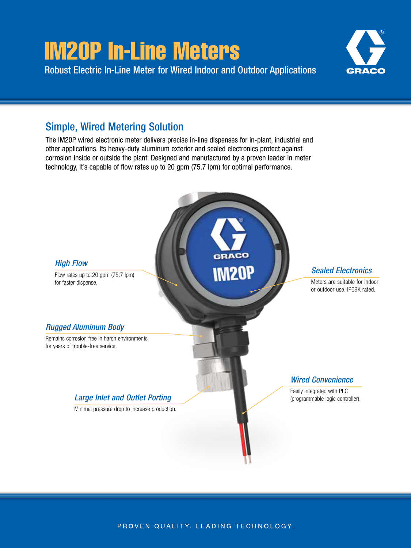# IM20P In-Line Meters

Robust Electric In-Line Meter for Wired Indoor and Outdoor Applications



# Simple, Wired Metering Solution

The IM20P wired electronic meter delivers precise in-line dispenses for in-plant, industrial and other applications. Its heavy-duty aluminum exterior and sealed electronics protect against corrosion inside or outside the plant. Designed and manufactured by a proven leader in meter technology, it's capable of flow rates up to 20 gpm (75.7 lpm) for optimal performance.



PROVEN QUALITY. LEADING TECHNOLOGY.